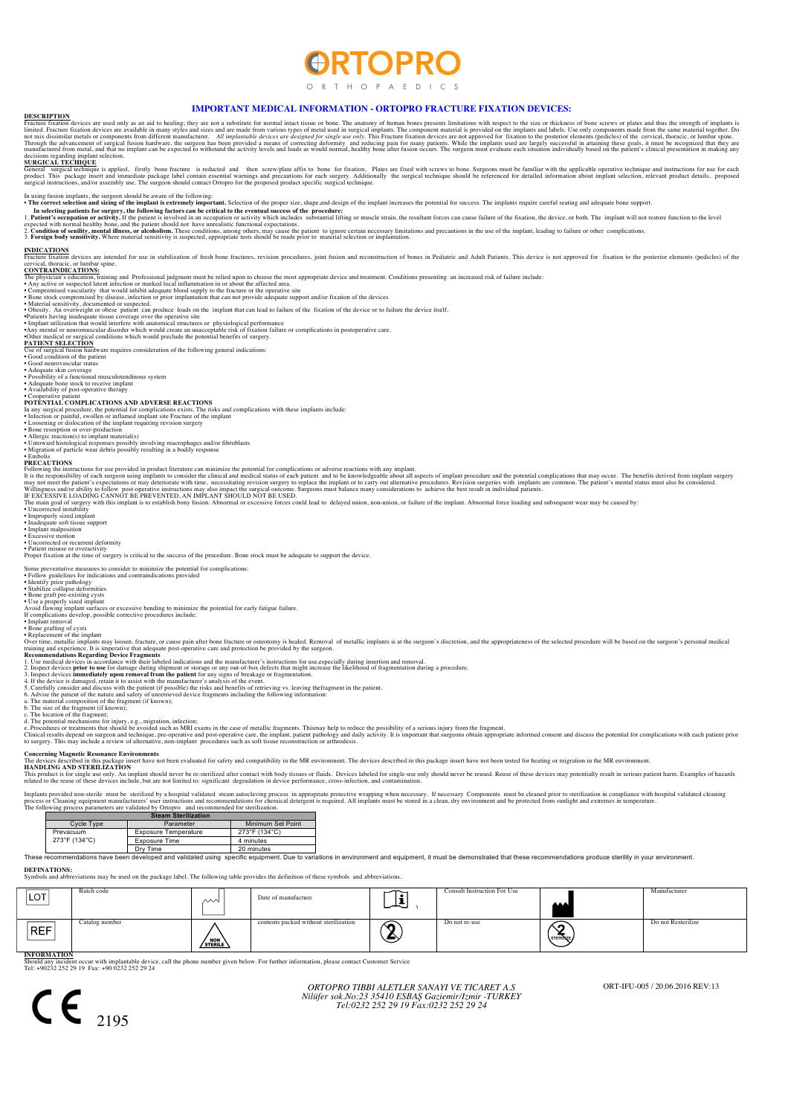# **RTOPR**

ORTH OP A F D I C S

**IMPORTANT MEDICAL INFORMATION - ORTOPRO FRACTURE FIXATION DEVICES:**<br>DESCRIPTION<br>limited. Fracture fixation devices are used only as an aid to healing: they are not a substitute in a substitute in nompaths in many styles a

SURGICAL TECHIQUE<br>Product This package insert and immediate package lable contain essential varmings and precevisive to bone for fixation, Plates are fixed with screws to bone. Surgeons must be familiar with the applicable

In using fusion implants, the surgeon should be aware of the following:<br>• The correct selection and sizing of the implant is extremely important. Selection of the proper size, shape and design of the implant increases the

• The correct selection and sizing of the implant is extremely important. Selection of the implant increases the potential for success. The implants require careful seating and adequate bone support.<br>1. Patient's occupatio

**INDICATIONS** ces are intended for use in stabilization of fresh bone fractures, revision procedures, joint fusion and reconstruction of bones in Pediatric and Adult Patients. This device is not approved for fixation to the posterior el

cervical, thoracic, or lumbar spine.<br>
CONTRAINDICATIONS:<br>
CONTRAINDICATIONS:<br>
The physician is education, training and Professional judgment must be relied upon to choose the most appropriate device and treatment. Conditio

Use of surgical fusion hardware requires consideration of the following general indications: • Good condition of the patient

• Good neurovascular status<br>• Adequate skin coverage<br>• Possibility of a functional musculotendinous system<br>• Adequate bone stock to receive implant<br>• Availability of post-operative therapy

## • Cooperative patient<br>POTENTIAL COMPLICATIONS AND ADVERSE REACTIONS

**POTENTIAL COMPLICATIONS AND ADVERSE REACTIONS**<br>In any surgical procedure, the potential for complications exists. The risks and complications with these implants include:<br> **In any surgical procedure**, the potential for co

PRECAUTIONS<br>The districtions for use provided in product literature can minimize the potential for complications or adverse reactions with any implant.<br>It is the responsibility of each surge implants to consider the clinic

AN IMPLANT SHOULD NOT BE USED.<br>2ny fusion. Abnormal or excessive forces could lead to delayed union, non-union, or failure of the implant. Abnormal force loading and subsequent wear may be caused by:

• Uncorrected instability • Improperly sized implant • Inadequate soft tissue support

• Implant malposition • Excessive motion • Uncorrected or recurrent deformity • Patient misuse or overactivity

Proper fixation at the time of surgery is critical to the success of the procedure. Bone stock must be adequate to support the device.

# Some preventative measures to consider to minimize the potential for complications<br>• Follow quidelines for indications: and contraindications: provided

• Follow guidelines for indications and contraindications provided<br>• Identify prior pathology<br>• Stabilize collapse deformities<br>• Done graft pre-existing cysts<br>• Use a properly sized implant<br>• Use a properly sized implant<br>

• Implant removal • Bone grafting of cysts

\* Replacement of the implant<br>
Nover time, metallic implants may loosen, fracture, or cause pain after bone fracture or osteotomy is healed. Removal of metallic implants is at the surgeon's discretion, and the appropriatene

## **Concerning Magnetic Resonance Environ**

a sert have not been evaluated for safety and compatibility in the MR environment. The devices described in this package insert have not been tested for heating or migration in the MR environment. **The devices described in this package instantially HANDLING AND STERILIZATION** 

This product is for single use only. An implant should never be re-sterilized after contact with body tissues of huids. Devices labeled for significant degradation in device performance, cross-infection, and contamination.

Implants provided non-sterile must be sterilized by a hospital validated steam autoclaving process in appropriate protective wrapping when necessary. If necessary Components must be cleaned prior to sterilization in compli

|  | <b>Steam Sterilization</b> |                      |                   |  |  |
|--|----------------------------|----------------------|-------------------|--|--|
|  | Cycle Type                 | Parameter            | Minimum Set Point |  |  |
|  | Prevacuum<br>273°F (134°C) | Exposure Temperature | 273°F (134°C)     |  |  |
|  |                            | Exposure Time        | 4 minutes         |  |  |
|  |                            | Dry Time             | 20 minutes        |  |  |

Dry Time 20 minutes 20 minutes and providence in the set of equipment. Due to variations in environment and equipment, it must be demonstrated that these recommendations produce sterility in your environment.<br>These recomme

**DEFINATIONS:** Symbols and abbreviations may be used on the package label. The following table provides the definition of these symbols and abbreviations.

| LOT'       | Batch code     | ∼∿                           | Date of manufacture                   | ∽ | <b>Consult Instruction For Use</b> | AAA           | Manufacturer       |
|------------|----------------|------------------------------|---------------------------------------|---|------------------------------------|---------------|--------------------|
| <b>REF</b> | Catalog number | $\sqrt{\frac{NON}{STERILE}}$ | contents packed without sterilization | ‴ | Do not re-use                      | Ő<br>STERINZE | Do not Resterilize |

**INFORMATION**<br>Should any incident occur with implantable device, call the phone number given below. For further information, please contact Customer Service<br>Tel: +90232 252 29 19 Fax: +90 0232 252 29 24



*ORTOPRO TIBBI ALETLER SANAYI VE TICARET A.S Nilüfer sok.No:23 35410 ESBAŞ Gaziemir/Izmir -TURKEY Tel:0232 252 29 19 Fax:0232 252 29 24* ORT-IFU-005 / 20.06.2016 REV:13